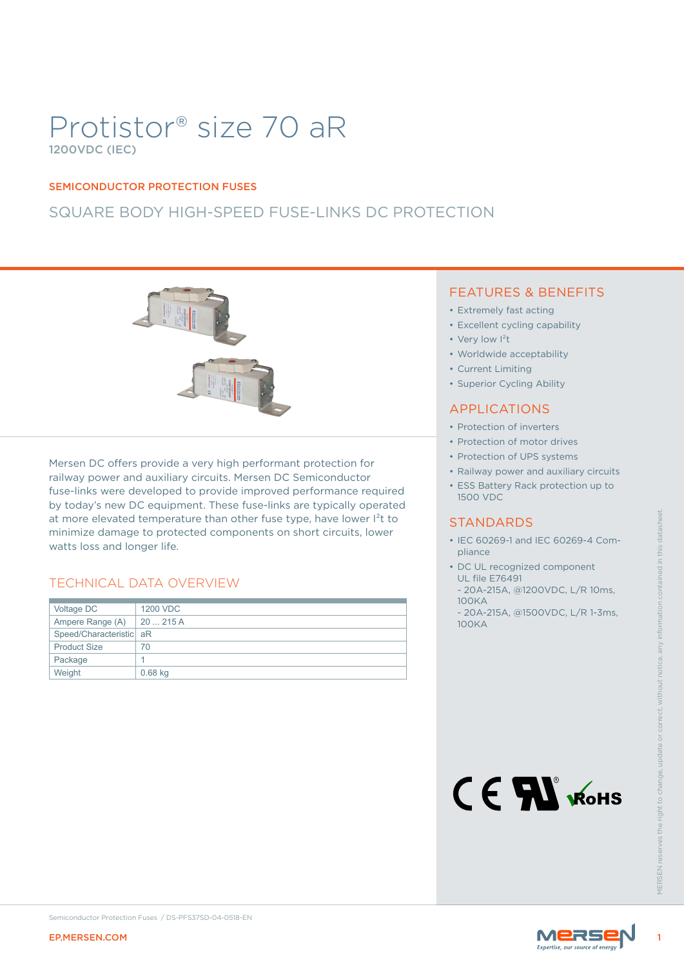# Protistor® size 70 aR 1200VDC (IEC)

#### SEMICONDUCTOR PROTECTION FUSES

## SQUARE BODY HIGH-SPEED FUSE-LINKS DC PROTECTION



### TECHNICAL DATA OVERVIEW

|                                                                                                                                                                                                                         | at more elevated temperature than other fuse type, have lower l <sup>2</sup> t to<br>minimize damage to protected components on short circuits, lower | <b>STANDARDS</b><br>• IEC 60269-1 and IEC 60269-4 Com-<br>pliance                                                                                                                     |
|-------------------------------------------------------------------------------------------------------------------------------------------------------------------------------------------------------------------------|-------------------------------------------------------------------------------------------------------------------------------------------------------|---------------------------------------------------------------------------------------------------------------------------------------------------------------------------------------|
| watts loss and longer life.<br><b>TECHNICAL DATA OVERVIEW</b><br>Voltage DC<br>1200 VDC<br>20  215 A<br>Ampere Range (A)<br>Speed/Characteristic aR<br><b>Product Size</b><br>70<br>Package<br>1<br>Weight<br>$0.68$ kg |                                                                                                                                                       | • DC UL recognized component<br><b>UL file E76491</b><br>- 20A-215A, @1200VDC, L/R 10ms,<br><b>100KA</b><br>- 20A-215A, @1500VDC, L/R 1-3ms,<br><b>100KA</b><br>CE AL WOHS<br>VIFRSFN |
| <b>EP.MERSEN.COM</b>                                                                                                                                                                                                    | Semiconductor Protection Fuses / DS-PFS37SD-04-0518-EN                                                                                                | MERSE                                                                                                                                                                                 |

#### FEATURES & BENEFITS

- Extremely fast acting
- Excellent cycling capability
- Very low I<sup>2</sup>t
- Worldwide acceptability
- Current Limiting
- Superior Cycling Ability

#### APPLICATIONS

- Protection of inverters
- Protection of motor drives
- Protection of UPS systems
- Railway power and auxiliary circuits
- ESS Battery Rack protection up to 1500 VDC

#### **STANDARDS**

- IEC 60269-1 and IEC 60269-4 Compliance
- DC UL recognized component UL file E76491
- 20A-215A, @1200VDC, L/R 10ms, 100KA
- 20A-215A, @1500VDC, L/R 1-3ms, 100KA



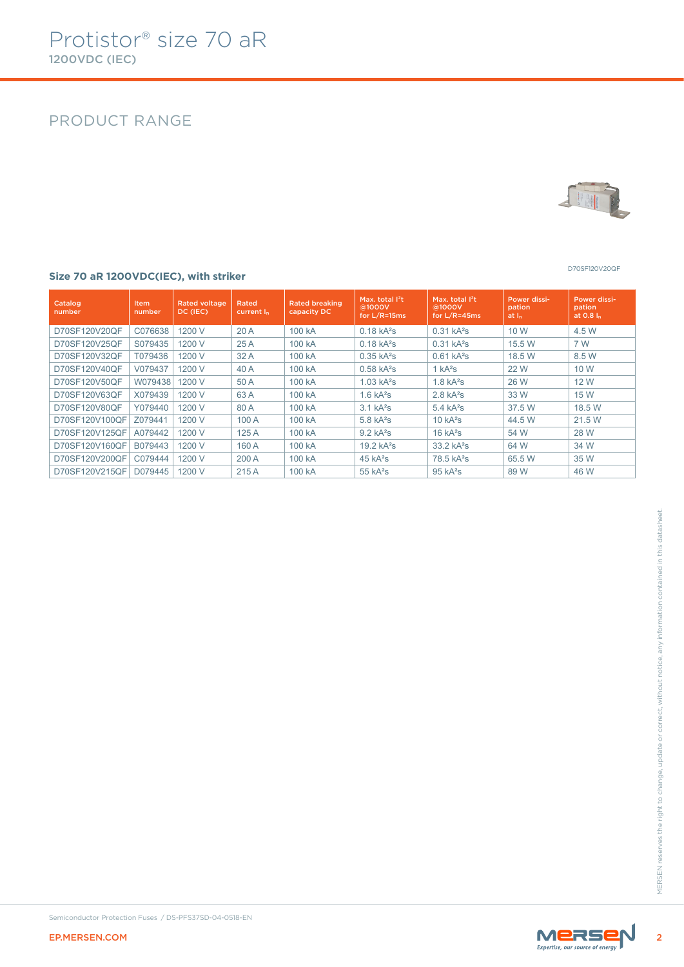## PRODUCT RANGE



D70SF120V20QF

#### **Size 70 aR 1200VDC(IEC), with striker**

| Catalog<br>number | <b>Item</b><br>number | <b>Rated voltage</b><br>DC (IEC) | <b>Rated</b><br>current I <sub>n</sub> | <b>Rated breaking</b><br>capacity DC | Max. total $I^2t$<br>@1000V<br>for $L/R = 15ms$ | Max. total $1^2t$<br>@1000V<br>for $L/R = 45ms$ | Power dissi-<br>pation<br>at <sub>h</sub> | Power dissi-<br>pation<br>at $0.8 In$ |
|-------------------|-----------------------|----------------------------------|----------------------------------------|--------------------------------------|-------------------------------------------------|-------------------------------------------------|-------------------------------------------|---------------------------------------|
| D70SF120V20QF     | C076638               | 1200 V                           | 20A                                    | 100 kA                               | $0.18$ kA <sup>2</sup> s                        | $0.31$ kA <sup>2</sup> s                        | 10 W                                      | 4.5 W                                 |
| D70SF120V25OF     | S079435               | 1200 V                           | 25A                                    | 100 kA                               | $0.18$ kA <sup>2</sup> s                        | $0.31$ kA <sup>2</sup> s                        | 15.5 W                                    | 7 W                                   |
| D70SF120V32QF     | T079436               | 1200 V                           | 32 A                                   | 100 kA                               | $0.35$ kA <sup>2</sup> s                        | $0.61$ kA <sup>2</sup> s                        | 18.5 W                                    | 8.5 W                                 |
| D70SF120V40OF     | V079437               | 1200 V                           | 40 A                                   | 100 kA                               | $0.58$ kA <sup>2</sup> s                        | 1 kA <sup>2</sup> S                             | 22 W                                      | 10 W                                  |
| D70SF120V50QF     | W079438               | 1200 V                           | 50 A                                   | 100 kA                               | $1.03$ kA <sup>2</sup> s                        | $1.8$ kA <sup>2</sup> s                         | 26 W                                      | 12 W                                  |
| D70SF120V63OF     | X079439               | 1200 V                           | 63A                                    | 100 kA                               | $1.6$ kA <sup>2</sup> s                         | $2.8$ kA <sup>2</sup> s                         | 33 W                                      | 15 W                                  |
| D70SF120V80QF     | Y079440               | 1200 V                           | 80 A                                   | 100 kA                               | 3.1 kA <sup>2</sup> S                           | 5.4 kA <sup>2</sup> S                           | 37.5 W                                    | 18.5 W                                |
| D70SF120V100QF    | Z079441               | 1200 V                           | 100A                                   | 100 kA                               | $5.8$ kA <sup>2</sup> s                         | 10 kA <sup>2</sup> S                            | 44.5 W                                    | 21.5 W                                |
| D70SF120V125QF    | A079442               | 1200 V                           | 125A                                   | 100 kA                               | $9.2$ kA <sup>2</sup> s                         | 16 kA <sup>2</sup> S                            | 54 W                                      | 28 W                                  |
| D70SF120V160QF    | B079443               | 1200 V                           | 160 A                                  | 100 kA                               | $19.2$ kA <sup>2</sup> s                        | 33.2 kA <sup>2</sup> S                          | 64 W                                      | 34 W                                  |
| D70SF120V200QF    | C079444               | 1200 V                           | 200A                                   | 100 kA                               | 45 kA <sup>2</sup> S                            | 78.5 kA <sup>2</sup> s                          | 65.5 W                                    | 35 W                                  |
| D70SF120V215QF    | D079445               | 1200 V                           | 215A                                   | 100 kA                               | $55$ k $A^2$ s                                  | 95 kA <sup>2</sup> S                            | 89 W                                      | 46 W                                  |



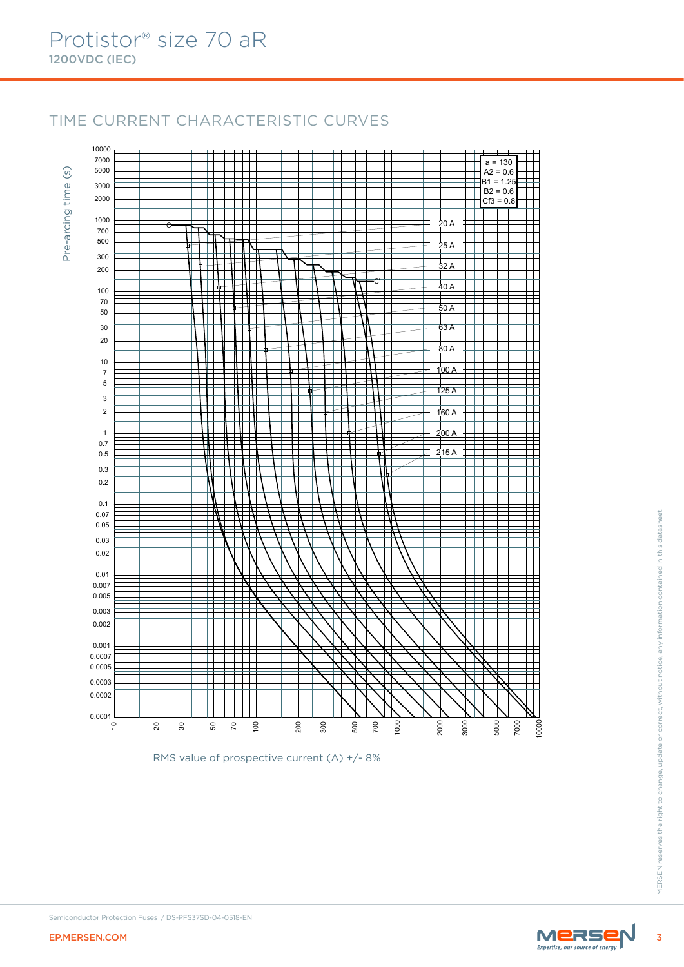Pre-arcing time (s)

Pre-arcing time

 $\circ$ 

## TIME CURRENT CHARACTERISTIC CURVES



RMS value of prospective current (A) +/- 8%

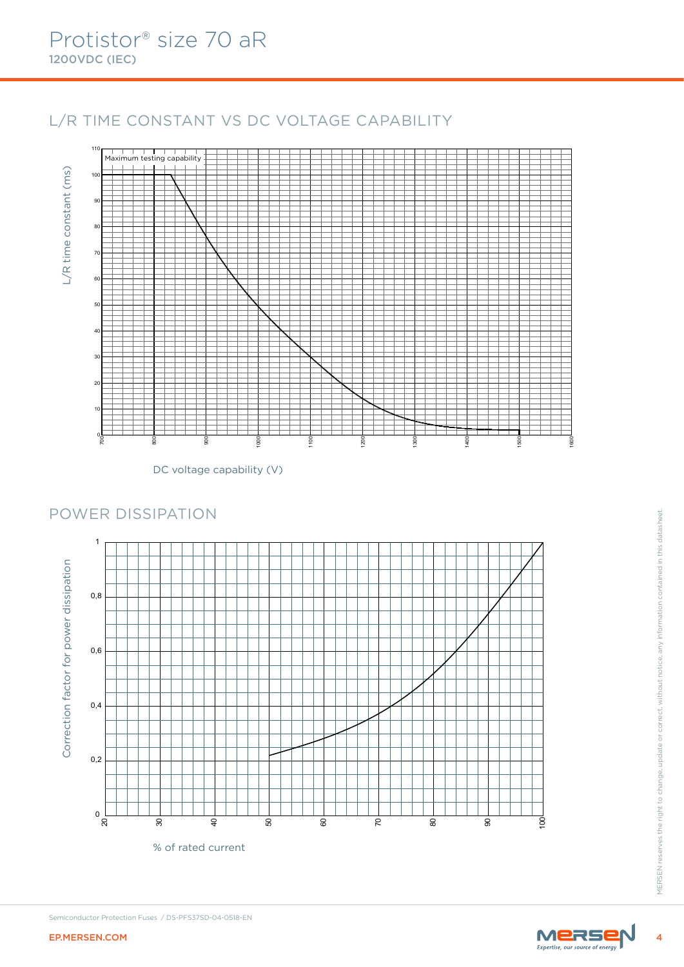## L/R TIME CONSTANT VS DC VOLTAGE CAPABILITY



DC voltage capability (V)

# POWER DISSIPATION<br>
Frame Reserves the right to change, update or correct, and any information contained in the right of the right of the right of the right of the right of the right of the right of the right of the right o 0 L<br>ຊ 0,2 0,4 0,6 0,8 Correction factor for power dissipation % of rated current

## POWER DISSIPATION